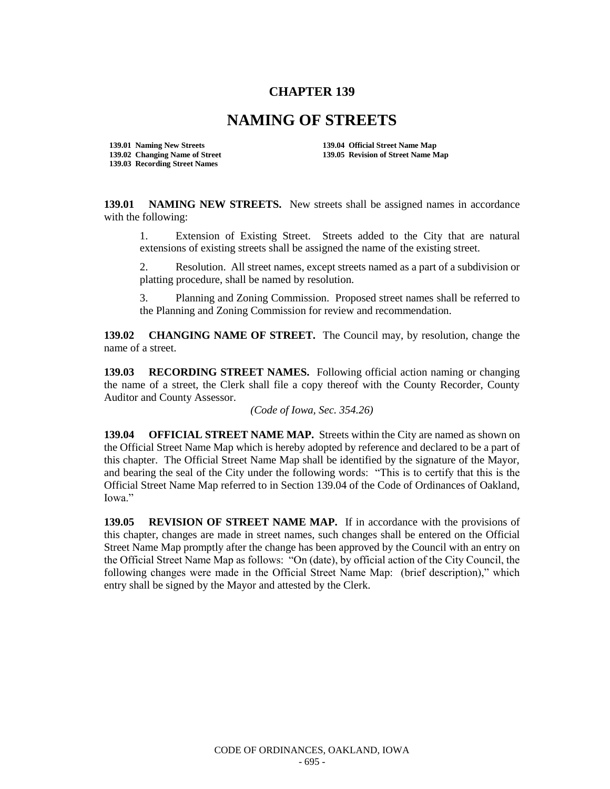## **CHAPTER 139**

## **NAMING OF STREETS**

**139.03 Recording Street Names**

**139.01 Naming New Streets 139.04 Official Street Name Map 139.02 Changing Name of Street 139.05 Revision of Street Name Map** 

**139.01 NAMING NEW STREETS.** New streets shall be assigned names in accordance with the following:

1. Extension of Existing Street. Streets added to the City that are natural extensions of existing streets shall be assigned the name of the existing street.

2. Resolution. All street names, except streets named as a part of a subdivision or platting procedure, shall be named by resolution.

3. Planning and Zoning Commission. Proposed street names shall be referred to the Planning and Zoning Commission for review and recommendation.

**139.02 CHANGING NAME OF STREET.** The Council may, by resolution, change the name of a street.

**139.03 RECORDING STREET NAMES.** Following official action naming or changing the name of a street, the Clerk shall file a copy thereof with the County Recorder, County Auditor and County Assessor.

*(Code of Iowa, Sec. 354.26)*

**139.04 OFFICIAL STREET NAME MAP.** Streets within the City are named as shown on the Official Street Name Map which is hereby adopted by reference and declared to be a part of this chapter. The Official Street Name Map shall be identified by the signature of the Mayor, and bearing the seal of the City under the following words: "This is to certify that this is the Official Street Name Map referred to in Section 139.04 of the Code of Ordinances of Oakland, Iowa."

**139.05 REVISION OF STREET NAME MAP.** If in accordance with the provisions of this chapter, changes are made in street names, such changes shall be entered on the Official Street Name Map promptly after the change has been approved by the Council with an entry on the Official Street Name Map as follows: "On (date), by official action of the City Council, the following changes were made in the Official Street Name Map: (brief description)," which entry shall be signed by the Mayor and attested by the Clerk.